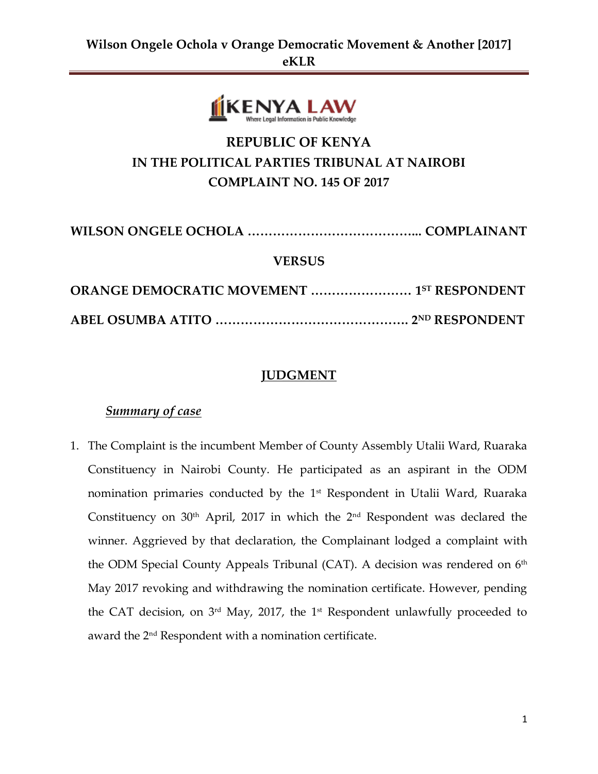

# **REPUBLIC OF KENYA IN THE POLITICAL PARTIES TRIBUNAL AT NAIROBI COMPLAINT NO. 145 OF 2017**

| <b>VERSUS</b>                                     |  |
|---------------------------------------------------|--|
| <b>ORANGE DEMOCRATIC MOVEMENT  1ST RESPONDENT</b> |  |
|                                                   |  |

# **JUDGMENT**

### *Summary of case*

1. The Complaint is the incumbent Member of County Assembly Utalii Ward, Ruaraka Constituency in Nairobi County. He participated as an aspirant in the ODM nomination primaries conducted by the 1<sup>st</sup> Respondent in Utalii Ward, Ruaraka Constituency on  $30<sup>th</sup>$  April, 2017 in which the  $2<sup>nd</sup>$  Respondent was declared the winner. Aggrieved by that declaration, the Complainant lodged a complaint with the ODM Special County Appeals Tribunal (CAT). A decision was rendered on 6<sup>th</sup> May 2017 revoking and withdrawing the nomination certificate. However, pending the CAT decision, on  $3^{\rm rd}$  May, 2017, the 1<sup>st</sup> Respondent unlawfully proceeded to award the 2nd Respondent with a nomination certificate.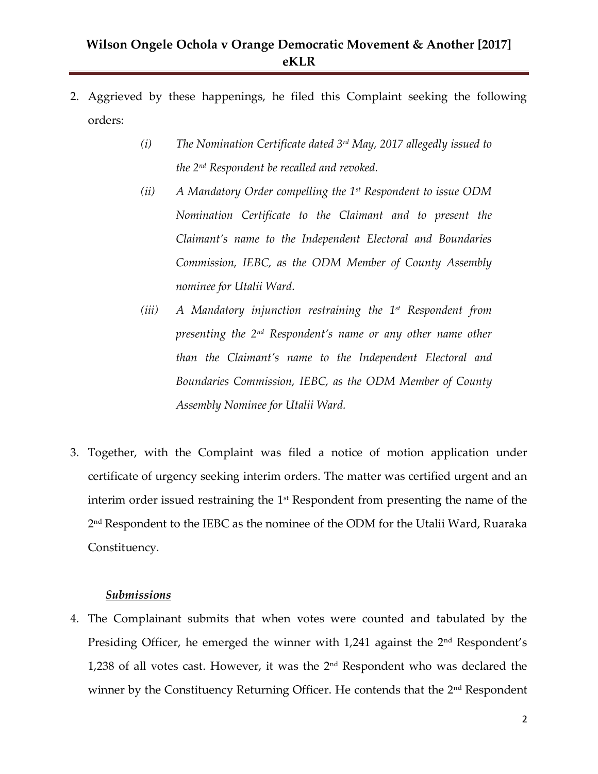- 2. Aggrieved by these happenings, he filed this Complaint seeking the following orders:
	- *(i) The Nomination Certificate dated 3rd May, 2017 allegedly issued to the 2nd Respondent be recalled and revoked.*
	- *(ii) A Mandatory Order compelling the 1st Respondent to issue ODM Nomination Certificate to the Claimant and to present the Claimant's name to the Independent Electoral and Boundaries Commission, IEBC, as the ODM Member of County Assembly nominee for Utalii Ward.*
	- *(iii) A Mandatory injunction restraining the 1st Respondent from presenting the 2nd Respondent's name or any other name other than the Claimant's name to the Independent Electoral and Boundaries Commission, IEBC, as the ODM Member of County Assembly Nominee for Utalii Ward.*
- 3. Together, with the Complaint was filed a notice of motion application under certificate of urgency seeking interim orders. The matter was certified urgent and an interim order issued restraining the  $1<sup>st</sup>$  Respondent from presenting the name of the 2 nd Respondent to the IEBC as the nominee of the ODM for the Utalii Ward, Ruaraka Constituency.

#### *Submissions*

4. The Complainant submits that when votes were counted and tabulated by the Presiding Officer, he emerged the winner with  $1,241$  against the  $2<sup>nd</sup>$  Respondent's 1,238 of all votes cast. However, it was the 2nd Respondent who was declared the winner by the Constituency Returning Officer. He contends that the 2<sup>nd</sup> Respondent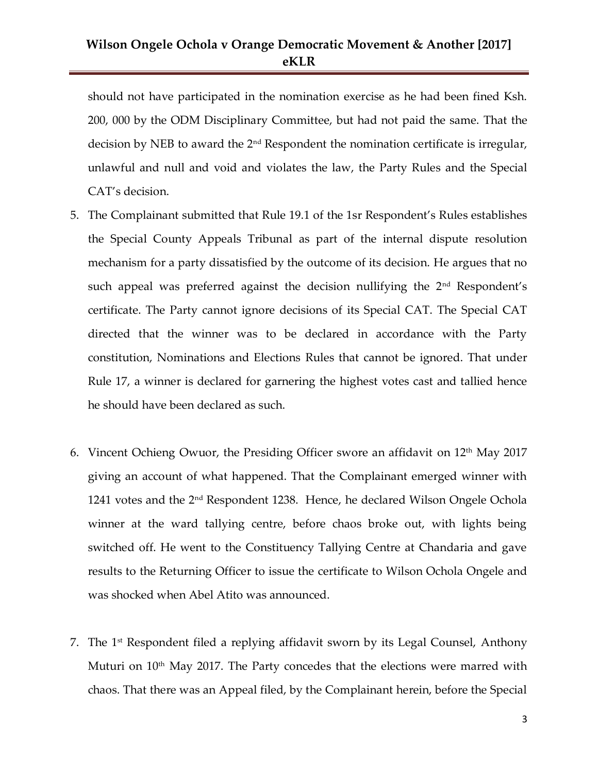should not have participated in the nomination exercise as he had been fined Ksh. 200, 000 by the ODM Disciplinary Committee, but had not paid the same. That the decision by NEB to award the 2nd Respondent the nomination certificate is irregular, unlawful and null and void and violates the law, the Party Rules and the Special CAT's decision.

- 5. The Complainant submitted that Rule 19.1 of the 1sr Respondent's Rules establishes the Special County Appeals Tribunal as part of the internal dispute resolution mechanism for a party dissatisfied by the outcome of its decision. He argues that no such appeal was preferred against the decision nullifying the  $2<sup>nd</sup>$  Respondent's certificate. The Party cannot ignore decisions of its Special CAT. The Special CAT directed that the winner was to be declared in accordance with the Party constitution, Nominations and Elections Rules that cannot be ignored. That under Rule 17, a winner is declared for garnering the highest votes cast and tallied hence he should have been declared as such.
- 6. Vincent Ochieng Owuor, the Presiding Officer swore an affidavit on  $12<sup>th</sup>$  May 2017 giving an account of what happened. That the Complainant emerged winner with 1241 votes and the 2nd Respondent 1238. Hence, he declared Wilson Ongele Ochola winner at the ward tallying centre, before chaos broke out, with lights being switched off. He went to the Constituency Tallying Centre at Chandaria and gave results to the Returning Officer to issue the certificate to Wilson Ochola Ongele and was shocked when Abel Atito was announced.
- 7. The 1 st Respondent filed a replying affidavit sworn by its Legal Counsel, Anthony Muturi on  $10<sup>th</sup>$  May 2017. The Party concedes that the elections were marred with chaos. That there was an Appeal filed, by the Complainant herein, before the Special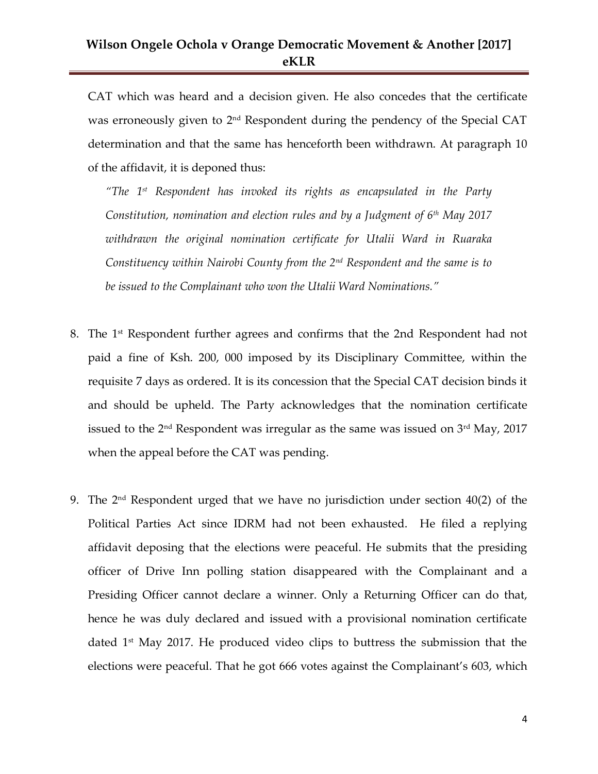CAT which was heard and a decision given. He also concedes that the certificate was erroneously given to 2nd Respondent during the pendency of the Special CAT determination and that the same has henceforth been withdrawn. At paragraph 10 of the affidavit, it is deponed thus:

*"The 1st Respondent has invoked its rights as encapsulated in the Party Constitution, nomination and election rules and by a Judgment of 6th May 2017 withdrawn the original nomination certificate for Utalii Ward in Ruaraka Constituency within Nairobi County from the 2nd Respondent and the same is to be issued to the Complainant who won the Utalii Ward Nominations."*

- 8. The 1st Respondent further agrees and confirms that the 2nd Respondent had not paid a fine of Ksh. 200, 000 imposed by its Disciplinary Committee, within the requisite 7 days as ordered. It is its concession that the Special CAT decision binds it and should be upheld. The Party acknowledges that the nomination certificate issued to the  $2<sup>nd</sup>$  Respondent was irregular as the same was issued on  $3<sup>rd</sup>$  May, 2017 when the appeal before the CAT was pending.
- 9. The  $2<sup>nd</sup>$  Respondent urged that we have no jurisdiction under section  $40(2)$  of the Political Parties Act since IDRM had not been exhausted. He filed a replying affidavit deposing that the elections were peaceful. He submits that the presiding officer of Drive Inn polling station disappeared with the Complainant and a Presiding Officer cannot declare a winner. Only a Returning Officer can do that, hence he was duly declared and issued with a provisional nomination certificate dated 1st May 2017. He produced video clips to buttress the submission that the elections were peaceful. That he got 666 votes against the Complainant's 603, which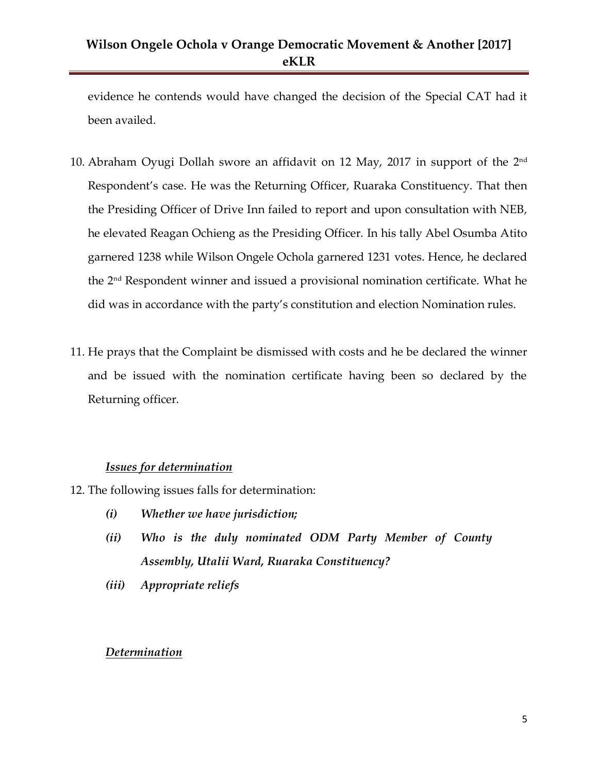evidence he contends would have changed the decision of the Special CAT had it been availed.

- 10. Abraham Oyugi Dollah swore an affidavit on 12 May, 2017 in support of the  $2^{\rm nd}$ Respondent's case. He was the Returning Officer, Ruaraka Constituency. That then the Presiding Officer of Drive Inn failed to report and upon consultation with NEB, he elevated Reagan Ochieng as the Presiding Officer. In his tally Abel Osumba Atito garnered 1238 while Wilson Ongele Ochola garnered 1231 votes. Hence, he declared the 2<sup>nd</sup> Respondent winner and issued a provisional nomination certificate. What he did was in accordance with the party's constitution and election Nomination rules.
- 11. He prays that the Complaint be dismissed with costs and he be declared the winner and be issued with the nomination certificate having been so declared by the Returning officer.

#### *Issues for determination*

- 12. The following issues falls for determination:
	- *(i) Whether we have jurisdiction;*
	- *(ii) Who is the duly nominated ODM Party Member of County Assembly, Utalii Ward, Ruaraka Constituency?*
	- *(iii) Appropriate reliefs*

#### *Determination*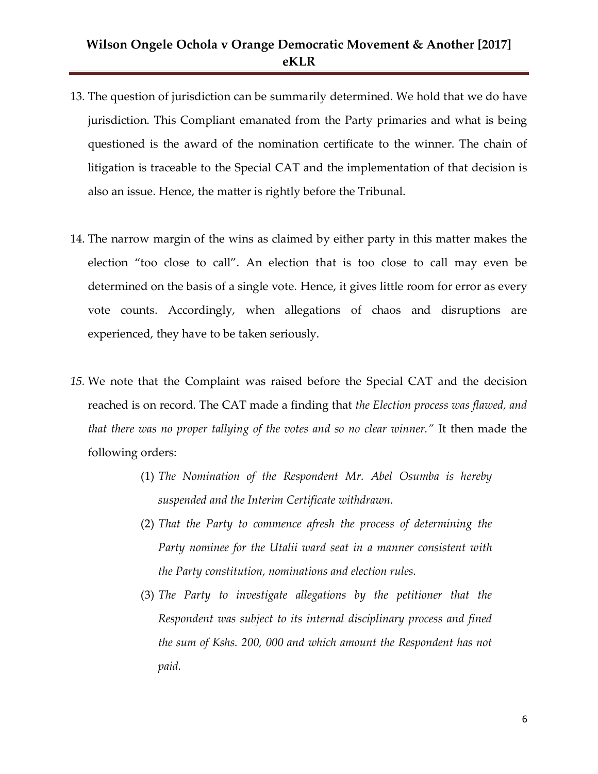- 13. The question of jurisdiction can be summarily determined. We hold that we do have jurisdiction. This Compliant emanated from the Party primaries and what is being questioned is the award of the nomination certificate to the winner. The chain of litigation is traceable to the Special CAT and the implementation of that decision is also an issue. Hence, the matter is rightly before the Tribunal.
- 14. The narrow margin of the wins as claimed by either party in this matter makes the election "too close to call". An election that is too close to call may even be determined on the basis of a single vote. Hence, it gives little room for error as every vote counts. Accordingly, when allegations of chaos and disruptions are experienced, they have to be taken seriously.
- *15.* We note that the Complaint was raised before the Special CAT and the decision reached is on record. The CAT made a finding that *the Election process was flawed, and that there was no proper tallying of the votes and so no clear winner."* It then made the following orders:
	- (1) *The Nomination of the Respondent Mr. Abel Osumba is hereby suspended and the Interim Certificate withdrawn.*
	- (2) *That the Party to commence afresh the process of determining the Party nominee for the Utalii ward seat in a manner consistent with the Party constitution, nominations and election rules.*
	- (3) *The Party to investigate allegations by the petitioner that the Respondent was subject to its internal disciplinary process and fined the sum of Kshs. 200, 000 and which amount the Respondent has not paid.*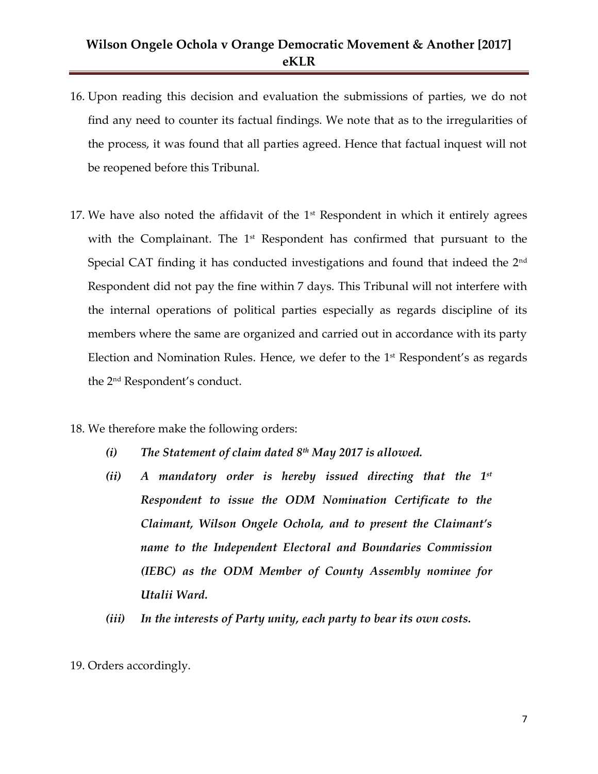- 16. Upon reading this decision and evaluation the submissions of parties, we do not find any need to counter its factual findings. We note that as to the irregularities of the process, it was found that all parties agreed. Hence that factual inquest will not be reopened before this Tribunal.
- 17. We have also noted the affidavit of the  $1<sup>st</sup>$  Respondent in which it entirely agrees with the Complainant. The 1<sup>st</sup> Respondent has confirmed that pursuant to the Special CAT finding it has conducted investigations and found that indeed the 2<sup>nd</sup> Respondent did not pay the fine within 7 days. This Tribunal will not interfere with the internal operations of political parties especially as regards discipline of its members where the same are organized and carried out in accordance with its party Election and Nomination Rules. Hence, we defer to the  $1<sup>st</sup>$  Respondent's as regards the 2nd Respondent's conduct.
- 18. We therefore make the following orders:
	- *(i) The Statement of claim dated 8th May 2017 is allowed.*
	- *(ii) A mandatory order is hereby issued directing that the 1st Respondent to issue the ODM Nomination Certificate to the Claimant, Wilson Ongele Ochola, and to present the Claimant's name to the Independent Electoral and Boundaries Commission (IEBC) as the ODM Member of County Assembly nominee for Utalii Ward.*
	- *(iii) In the interests of Party unity, each party to bear its own costs.*
- 19. Orders accordingly.